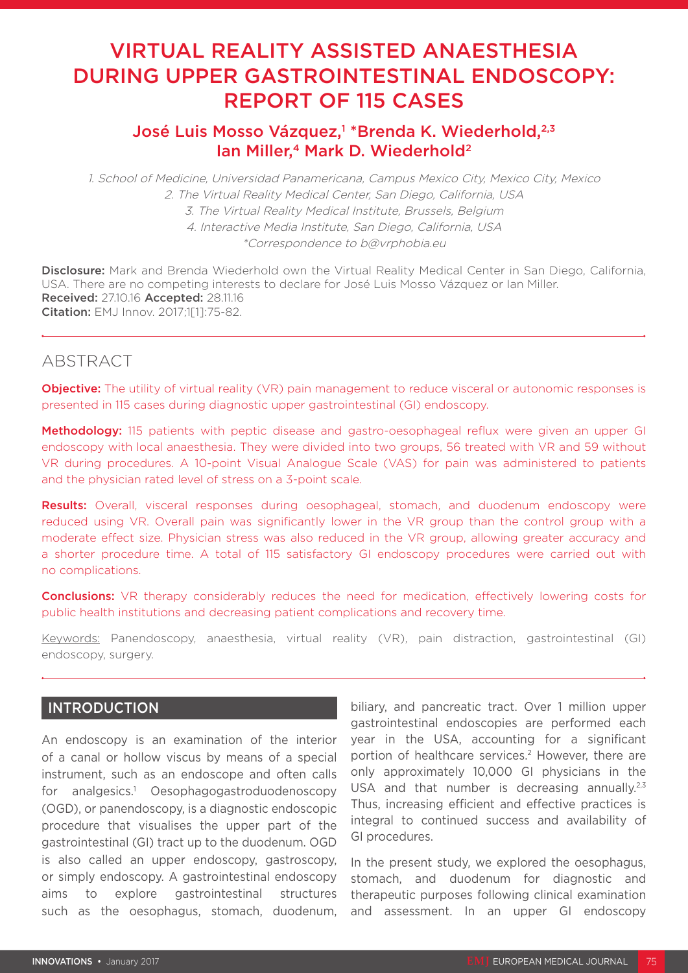# VIRTUAL REALITY ASSISTED ANAESTHESIA DURING UPPER GASTROINTESTINAL ENDOSCOPY: REPORT OF 115 CASES

# José Luis Mosso Vázquez,<sup>1 \*</sup>Brenda K. Wiederhold,<sup>2,3</sup> Ian Miller,<sup>4</sup> Mark D. Wiederhold<sup>2</sup>

1. School of Medicine, Universidad Panamericana, Campus Mexico City, Mexico City, Mexico 2. The Virtual Reality Medical Center, San Diego, California, USA 3. The Virtual Reality Medical Institute, Brussels, Belgium 4. Interactive Media Institute, San Diego, California, USA \*Correspondence to b@vrphobia.eu

Disclosure: Mark and Brenda Wiederhold own the Virtual Reality Medical Center in San Diego, California, USA. There are no competing interests to declare for José Luis Mosso Vázquez or Ian Miller. Received: 27.10.16 Accepted: 28.11.16 Citation: EMJ Innov. 2017;1[1]:75-82.

## **ABSTRACT**

**Objective:** The utility of virtual reality (VR) pain management to reduce visceral or autonomic responses is presented in 115 cases during diagnostic upper gastrointestinal (GI) endoscopy.

Methodology: 115 patients with peptic disease and gastro-oesophageal reflux were given an upper GI endoscopy with local anaesthesia. They were divided into two groups, 56 treated with VR and 59 without VR during procedures. A 10-point Visual Analogue Scale (VAS) for pain was administered to patients and the physician rated level of stress on a 3-point scale.

**Results:** Overall, visceral responses during oesophageal, stomach, and duodenum endoscopy were reduced using VR. Overall pain was significantly lower in the VR group than the control group with a moderate effect size. Physician stress was also reduced in the VR group, allowing greater accuracy and a shorter procedure time. A total of 115 satisfactory GI endoscopy procedures were carried out with no complications.

**Conclusions:** VR therapy considerably reduces the need for medication, effectively lowering costs for public health institutions and decreasing patient complications and recovery time.

Keywords: Panendoscopy, anaesthesia, virtual reality (VR), pain distraction, gastrointestinal (GI) endoscopy, surgery.

## **INTRODUCTION**

An endoscopy is an examination of the interior of a canal or hollow viscus by means of a special instrument, such as an endoscope and often calls for analgesics.<sup>1</sup> Oesophagogastroduodenoscopy (OGD), or panendoscopy, is a diagnostic endoscopic procedure that visualises the upper part of the gastrointestinal (GI) tract up to the duodenum. OGD is also called an upper endoscopy, gastroscopy, or simply endoscopy. A gastrointestinal endoscopy aims to explore gastrointestinal structures such as the oesophagus, stomach, duodenum,

biliary, and pancreatic tract. Over 1 million upper gastrointestinal endoscopies are performed each year in the USA, accounting for a significant portion of healthcare services.<sup>2</sup> However, there are only approximately 10,000 GI physicians in the USA and that number is decreasing annually.<sup>2,3</sup> Thus, increasing efficient and effective practices is integral to continued success and availability of GI procedures.

In the present study, we explored the oesophagus, stomach, and duodenum for diagnostic and therapeutic purposes following clinical examination and assessment. In an upper GI endoscopy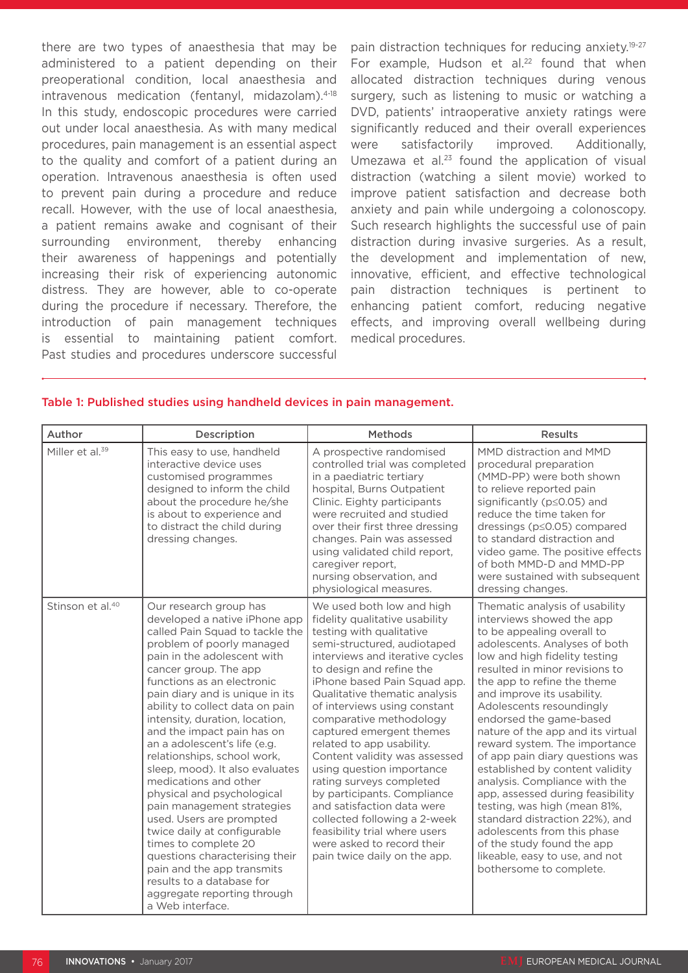there are two types of anaesthesia that may be administered to a patient depending on their preoperational condition, local anaesthesia and intravenous medication (fentanyl, midazolam).<sup>4-18</sup> In this study, endoscopic procedures were carried out under local anaesthesia. As with many medical procedures, pain management is an essential aspect to the quality and comfort of a patient during an operation. Intravenous anaesthesia is often used to prevent pain during a procedure and reduce recall. However, with the use of local anaesthesia, a patient remains awake and cognisant of their surrounding environment, thereby enhancing their awareness of happenings and potentially increasing their risk of experiencing autonomic distress. They are however, able to co-operate during the procedure if necessary. Therefore, the introduction of pain management techniques is essential to maintaining patient comfort. Past studies and procedures underscore successful

pain distraction techniques for reducing anxiety.19-27 For example, Hudson et al.<sup>22</sup> found that when allocated distraction techniques during venous surgery, such as listening to music or watching a DVD, patients' intraoperative anxiety ratings were significantly reduced and their overall experiences were satisfactorily improved. Additionally, Umezawa et al. $23$  found the application of visual distraction (watching a silent movie) worked to improve patient satisfaction and decrease both anxiety and pain while undergoing a colonoscopy. Such research highlights the successful use of pain distraction during invasive surgeries. As a result, the development and implementation of new, innovative, efficient, and effective technological pain distraction techniques is pertinent to enhancing patient comfort, reducing negative effects, and improving overall wellbeing during medical procedures.

| Author                       | Description                                                                                                                                                                                                                                                                                                                                                                                                                                                                                                                                                                                                                                                                                                                                                                   | <b>Methods</b>                                                                                                                                                                                                                                                                                                                                                                                                                                                                                                                                                                                                                                                   | <b>Results</b>                                                                                                                                                                                                                                                                                                                                                                                                                                                                                                                                                                                                                                                                                                                 |
|------------------------------|-------------------------------------------------------------------------------------------------------------------------------------------------------------------------------------------------------------------------------------------------------------------------------------------------------------------------------------------------------------------------------------------------------------------------------------------------------------------------------------------------------------------------------------------------------------------------------------------------------------------------------------------------------------------------------------------------------------------------------------------------------------------------------|------------------------------------------------------------------------------------------------------------------------------------------------------------------------------------------------------------------------------------------------------------------------------------------------------------------------------------------------------------------------------------------------------------------------------------------------------------------------------------------------------------------------------------------------------------------------------------------------------------------------------------------------------------------|--------------------------------------------------------------------------------------------------------------------------------------------------------------------------------------------------------------------------------------------------------------------------------------------------------------------------------------------------------------------------------------------------------------------------------------------------------------------------------------------------------------------------------------------------------------------------------------------------------------------------------------------------------------------------------------------------------------------------------|
| Miller et al. <sup>39</sup>  | This easy to use, handheld<br>interactive device uses<br>customised programmes<br>designed to inform the child<br>about the procedure he/she<br>is about to experience and<br>to distract the child during<br>dressing changes.                                                                                                                                                                                                                                                                                                                                                                                                                                                                                                                                               | A prospective randomised<br>controlled trial was completed<br>in a paediatric tertiary<br>hospital, Burns Outpatient<br>Clinic. Eighty participants<br>were recruited and studied<br>over their first three dressing<br>changes. Pain was assessed<br>using validated child report,<br>caregiver report,<br>nursing observation, and<br>physiological measures.                                                                                                                                                                                                                                                                                                  | MMD distraction and MMD<br>procedural preparation<br>(MMD-PP) were both shown<br>to relieve reported pain<br>significantly (p≤0.05) and<br>reduce the time taken for<br>dressings (p≤0.05) compared<br>to standard distraction and<br>video game. The positive effects<br>of both MMD-D and MMD-PP<br>were sustained with subsequent<br>dressing changes.                                                                                                                                                                                                                                                                                                                                                                      |
| Stinson et al. <sup>40</sup> | Our research group has<br>developed a native iPhone app<br>called Pain Squad to tackle the<br>problem of poorly managed<br>pain in the adolescent with<br>cancer group. The app<br>functions as an electronic<br>pain diary and is unique in its<br>ability to collect data on pain<br>intensity, duration, location,<br>and the impact pain has on<br>an a adolescent's life (e.g.<br>relationships, school work,<br>sleep, mood). It also evaluates<br>medications and other<br>physical and psychological<br>pain management strategies<br>used. Users are prompted<br>twice daily at configurable<br>times to complete 20<br>questions characterising their<br>pain and the app transmits<br>results to a database for<br>aggregate reporting through<br>a Web interface. | We used both low and high<br>fidelity qualitative usability<br>testing with qualitative<br>semi-structured, audiotaped<br>interviews and iterative cycles<br>to design and refine the<br>iPhone based Pain Squad app.<br>Qualitative thematic analysis<br>of interviews using constant<br>comparative methodology<br>captured emergent themes<br>related to app usability.<br>Content validity was assessed<br>using question importance<br>rating surveys completed<br>by participants. Compliance<br>and satisfaction data were<br>collected following a 2-week<br>feasibility trial where users<br>were asked to record their<br>pain twice daily on the app. | Thematic analysis of usability<br>interviews showed the app<br>to be appealing overall to<br>adolescents. Analyses of both<br>low and high fidelity testing<br>resulted in minor revisions to<br>the app to refine the theme<br>and improve its usability.<br>Adolescents resoundingly<br>endorsed the game-based<br>nature of the app and its virtual<br>reward system. The importance<br>of app pain diary questions was<br>established by content validity<br>analysis. Compliance with the<br>app, assessed during feasibility<br>testing, was high (mean 81%,<br>standard distraction 22%), and<br>adolescents from this phase<br>of the study found the app<br>likeable, easy to use, and not<br>bothersome to complete. |

#### Table 1: Published studies using handheld devices in pain management.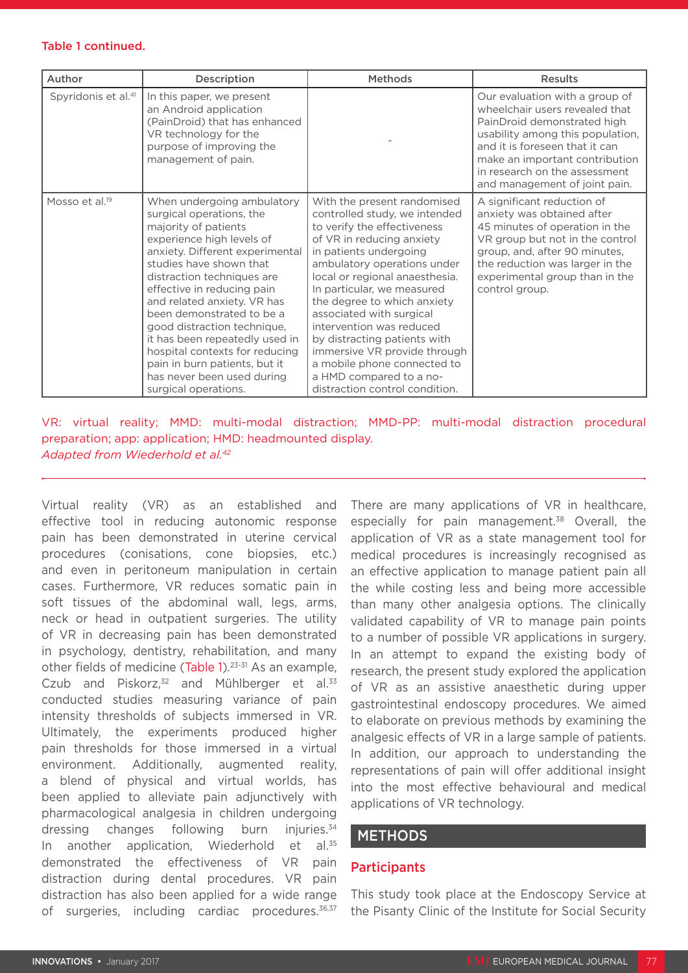#### Table 1 continued.

| Author                          | Description                                                                                                                                                                                                                                                                                                                                                                                                                                                                                 | Methods                                                                                                                                                                                                                                                                                                                                                                                                                                                                                              | <b>Results</b>                                                                                                                                                                                                                                                            |
|---------------------------------|---------------------------------------------------------------------------------------------------------------------------------------------------------------------------------------------------------------------------------------------------------------------------------------------------------------------------------------------------------------------------------------------------------------------------------------------------------------------------------------------|------------------------------------------------------------------------------------------------------------------------------------------------------------------------------------------------------------------------------------------------------------------------------------------------------------------------------------------------------------------------------------------------------------------------------------------------------------------------------------------------------|---------------------------------------------------------------------------------------------------------------------------------------------------------------------------------------------------------------------------------------------------------------------------|
| Spyridonis et al. <sup>41</sup> | In this paper, we present<br>an Android application<br>(PainDroid) that has enhanced<br>VR technology for the<br>purpose of improving the<br>management of pain.                                                                                                                                                                                                                                                                                                                            |                                                                                                                                                                                                                                                                                                                                                                                                                                                                                                      | Our evaluation with a group of<br>wheelchair users revealed that<br>PainDroid demonstrated high<br>usability among this population,<br>and it is foreseen that it can<br>make an important contribution<br>in research on the assessment<br>and management of joint pain. |
| Mosso et al. <sup>19</sup>      | When undergoing ambulatory<br>surgical operations, the<br>majority of patients<br>experience high levels of<br>anxiety. Different experimental<br>studies have shown that<br>distraction techniques are<br>effective in reducing pain<br>and related anxiety. VR has<br>been demonstrated to be a<br>good distraction technique,<br>it has been repeatedly used in<br>hospital contexts for reducing<br>pain in burn patients, but it<br>has never been used during<br>surgical operations. | With the present randomised<br>controlled study, we intended<br>to verify the effectiveness<br>of VR in reducing anxiety<br>in patients undergoing<br>ambulatory operations under<br>local or regional anaesthesia.<br>In particular, we measured<br>the degree to which anxiety<br>associated with surgical<br>intervention was reduced<br>by distracting patients with<br>immersive VR provide through<br>a mobile phone connected to<br>a HMD compared to a no-<br>distraction control condition. | A significant reduction of<br>anxiety was obtained after<br>45 minutes of operation in the<br>VR group but not in the control<br>group, and, after 90 minutes,<br>the reduction was larger in the<br>experimental group than in the<br>control group.                     |

### VR: virtual reality; MMD: multi-modal distraction; MMD-PP: multi-modal distraction procedural preparation; app: application; HMD: headmounted display. *Adapted from Wiederhold et al.42*

Virtual reality (VR) as an established and effective tool in reducing autonomic response pain has been demonstrated in uterine cervical procedures (conisations, cone biopsies, etc.) and even in peritoneum manipulation in certain cases. Furthermore, VR reduces somatic pain in soft tissues of the abdominal wall, legs, arms, neck or head in outpatient surgeries. The utility of VR in decreasing pain has been demonstrated in psychology, dentistry, rehabilitation, and many other fields of medicine (Table 1).23-31 As an example, Czub and Piskorz, $32$  and Mühlberger et al. $33$ conducted studies measuring variance of pain intensity thresholds of subjects immersed in VR. Ultimately, the experiments produced higher pain thresholds for those immersed in a virtual environment. Additionally, augmented reality, a blend of physical and virtual worlds, has been applied to alleviate pain adjunctively with pharmacological analgesia in children undergoing dressing changes following burn injuries.<sup>34</sup> In another application. Wiederhold et al.<sup>35</sup> demonstrated the effectiveness of VR pain distraction during dental procedures. VR pain distraction has also been applied for a wide range of surgeries, including cardiac procedures.<sup>36,37</sup> There are many applications of VR in healthcare, especially for pain management.<sup>38</sup> Overall, the application of VR as a state management tool for medical procedures is increasingly recognised as an effective application to manage patient pain all the while costing less and being more accessible than many other analgesia options. The clinically validated capability of VR to manage pain points to a number of possible VR applications in surgery. In an attempt to expand the existing body of research, the present study explored the application of VR as an assistive anaesthetic during upper gastrointestinal endoscopy procedures. We aimed to elaborate on previous methods by examining the analgesic effects of VR in a large sample of patients. In addition, our approach to understanding the representations of pain will offer additional insight into the most effective behavioural and medical applications of VR technology.

# **METHODS**

## **Participants**

This study took place at the Endoscopy Service at the Pisanty Clinic of the Institute for Social Security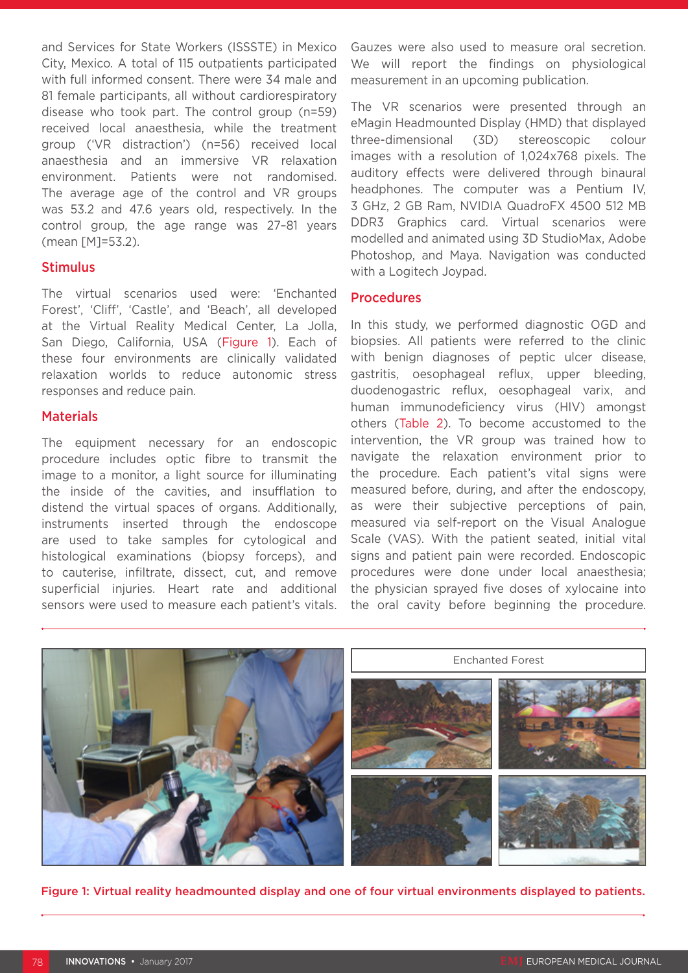and Services for State Workers (ISSSTE) in Mexico City, Mexico. A total of 115 outpatients participated with full informed consent. There were 34 male and 81 female participants, all without cardiorespiratory disease who took part. The control group (n=59) received local anaesthesia, while the treatment group ('VR distraction') (n=56) received local anaesthesia and an immersive VR relaxation environment. Patients were not randomised. The average age of the control and VR groups was 53.2 and 47.6 years old, respectively. In the control group, the age range was 27–81 years (mean [M]=53.2).

## Stimulus

The virtual scenarios used were: 'Enchanted Forest', 'Cliff', 'Castle', and 'Beach', all developed at the Virtual Reality Medical Center, La Jolla, San Diego, California, USA (Figure 1). Each of these four environments are clinically validated relaxation worlds to reduce autonomic stress responses and reduce pain.

#### **Materials**

The equipment necessary for an endoscopic procedure includes optic fibre to transmit the image to a monitor, a light source for illuminating the inside of the cavities, and insufflation to distend the virtual spaces of organs. Additionally, instruments inserted through the endoscope are used to take samples for cytological and histological examinations (biopsy forceps), and to cauterise, infiltrate, dissect, cut, and remove superficial injuries. Heart rate and additional sensors were used to measure each patient's vitals.

Gauzes were also used to measure oral secretion. We will report the findings on physiological measurement in an upcoming publication.

The VR scenarios were presented through an eMagin Headmounted Display (HMD) that displayed three-dimensional (3D) stereoscopic colour images with a resolution of 1,024x768 pixels. The auditory effects were delivered through binaural headphones. The computer was a Pentium IV, 3 GHz, 2 GB Ram, NVIDIA QuadroFX 4500 512 MB DDR3 Graphics card. Virtual scenarios were modelled and animated using 3D StudioMax, Adobe Photoshop, and Maya. Navigation was conducted with a Logitech Joypad.

## Procedures

In this study, we performed diagnostic OGD and biopsies. All patients were referred to the clinic with benign diagnoses of peptic ulcer disease, gastritis, oesophageal reflux, upper bleeding, duodenogastric reflux, oesophageal varix, and human immunodeficiency virus (HIV) amongst others (Table 2). To become accustomed to the intervention, the VR group was trained how to navigate the relaxation environment prior to the procedure. Each patient's vital signs were measured before, during, and after the endoscopy, as were their subjective perceptions of pain, measured via self-report on the Visual Analogue Scale (VAS). With the patient seated, initial vital signs and patient pain were recorded. Endoscopic procedures were done under local anaesthesia; the physician sprayed five doses of xylocaine into the oral cavity before beginning the procedure.



Figure 1: Virtual reality headmounted display and one of four virtual environments displayed to patients.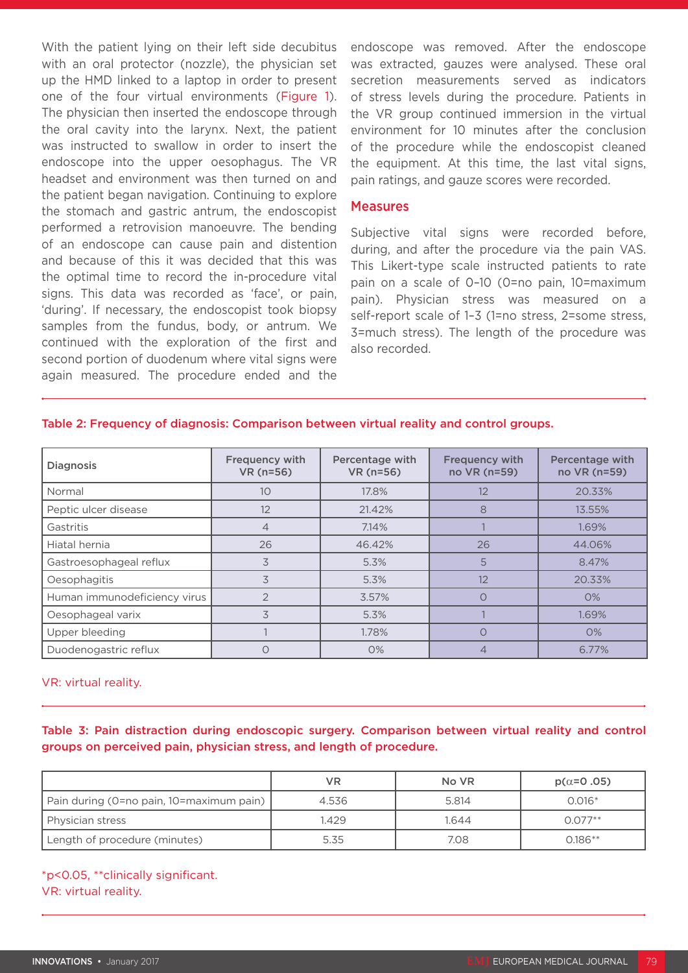With the patient lying on their left side decubitus with an oral protector (nozzle), the physician set up the HMD linked to a laptop in order to present one of the four virtual environments (Figure 1). The physician then inserted the endoscope through the oral cavity into the larynx. Next, the patient was instructed to swallow in order to insert the endoscope into the upper oesophagus. The VR headset and environment was then turned on and the patient began navigation. Continuing to explore the stomach and gastric antrum, the endoscopist performed a retrovision manoeuvre. The bending of an endoscope can cause pain and distention and because of this it was decided that this was the optimal time to record the in-procedure vital signs. This data was recorded as 'face', or pain, 'during'. If necessary, the endoscopist took biopsy samples from the fundus, body, or antrum. We continued with the exploration of the first and second portion of duodenum where vital signs were again measured. The procedure ended and the

endoscope was removed. After the endoscope was extracted, gauzes were analysed. These oral secretion measurements served as indicators of stress levels during the procedure. Patients in the VR group continued immersion in the virtual environment for 10 minutes after the conclusion of the procedure while the endoscopist cleaned the equipment. At this time, the last vital signs, pain ratings, and gauze scores were recorded.

#### **Measures**

Subjective vital signs were recorded before, during, and after the procedure via the pain VAS. This Likert-type scale instructed patients to rate pain on a scale of 0–10 (0=no pain, 10=maximum pain). Physician stress was measured on a self-report scale of 1-3 (1=no stress, 2=some stress, 3=much stress). The length of the procedure was also recorded.

#### Table 2: Frequency of diagnosis: Comparison between virtual reality and control groups.

| <b>Diagnosis</b>             | <b>Frequency with</b><br>VR (n=56) | Percentage with<br>VR (n=56) | <b>Frequency with</b><br>no VR (n=59) | Percentage with<br>no VR (n=59) |
|------------------------------|------------------------------------|------------------------------|---------------------------------------|---------------------------------|
| Normal                       | 10                                 | 17.8%                        | 12                                    | 20.33%                          |
| Peptic ulcer disease         | 12                                 | 21.42%                       | 8                                     | 13.55%                          |
| Gastritis                    | 4                                  | 7.14%                        |                                       | 1.69%                           |
| Hiatal hernia                | 26                                 | 46.42%                       | 26                                    | 44.06%                          |
| Gastroesophageal reflux      | 3                                  | 5.3%                         | 5                                     | 8.47%                           |
| Oesophagitis                 | 3                                  | 5.3%                         | 12                                    | 20.33%                          |
| Human immunodeficiency virus | $\mathcal{P}$                      | 3.57%                        |                                       | O%                              |
| Oesophageal varix            | 3                                  | 5.3%                         |                                       | 1.69%                           |
| Upper bleeding               |                                    | 1.78%                        | ∩                                     | O%                              |
| Duodenogastric reflux        |                                    | $O\%$                        |                                       | 6.77%                           |

#### VR: virtual reality.

Table 3: Pain distraction during endoscopic surgery. Comparison between virtual reality and control groups on perceived pain, physician stress, and length of procedure.

|                                          | VR    | No VR | $p(\alpha=0.05)$ |
|------------------------------------------|-------|-------|------------------|
| Pain during (0=no pain, 10=maximum pain) | 4.536 | 5.814 | $0.016*$         |
| Physician stress                         | 1.429 | .644  | $0.077**$        |
| Length of procedure (minutes)            | 5.35  | 7.08  | $0.186**$        |

\*p<0.05, \*\*clinically significant. VR: virtual reality.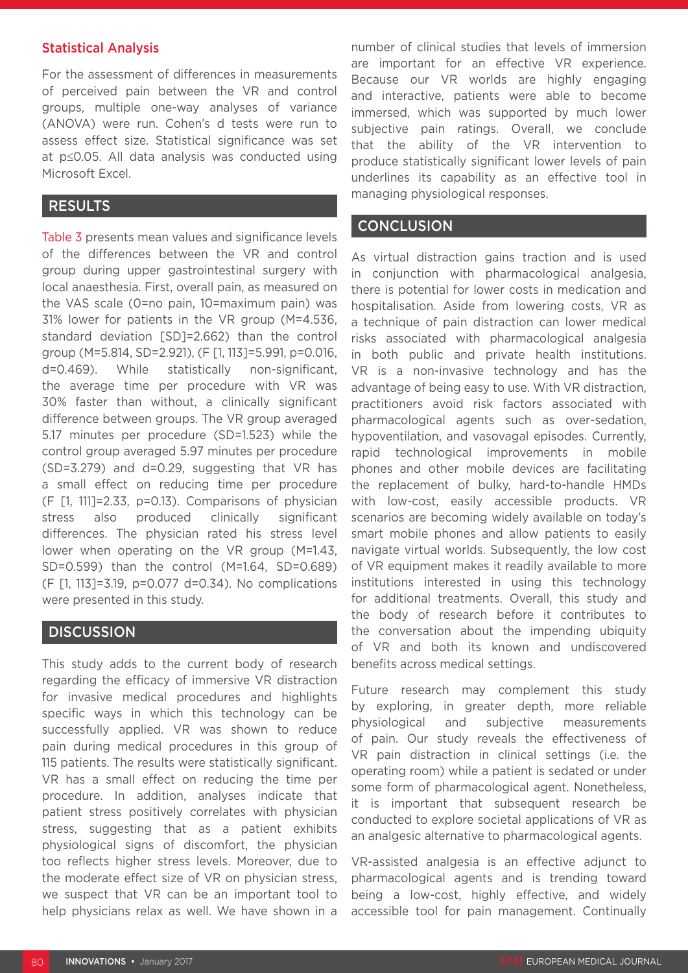## Statistical Analysis

For the assessment of differences in measurements of perceived pain between the VR and control groups, multiple one-way analyses of variance (ANOVA) were run. Cohen's d tests were run to assess effect size. Statistical significance was set at p≤0.05. All data analysis was conducted using Microsoft Excel.

## RESULTS

Table 3 presents mean values and significance levels of the differences between the VR and control group during upper gastrointestinal surgery with local anaesthesia. First, overall pain, as measured on the VAS scale (0=no pain, 10=maximum pain) was 31% lower for patients in the VR group (M=4.536, standard deviation [SD]=2.662) than the control group (M=5.814, SD=2.921), (F [1, 113]=5.991, p=0.016, d=0.469). While statistically non-significant, the average time per procedure with VR was 30% faster than without, a clinically significant difference between groups. The VR group averaged 5.17 minutes per procedure (SD=1.523) while the control group averaged 5.97 minutes per procedure (SD=3.279) and d=0.29, suggesting that VR has a small effect on reducing time per procedure (F [1, 111]=2.33, p=0.13). Comparisons of physician stress also produced clinically significant differences. The physician rated his stress level lower when operating on the VR group (M=1.43, SD=0.599) than the control (M=1.64, SD=0.689) (F [1, 113]=3.19, p=0.077 d=0.34). No complications were presented in this study.

## **DISCUSSION**

This study adds to the current body of research regarding the efficacy of immersive VR distraction for invasive medical procedures and highlights specific ways in which this technology can be successfully applied. VR was shown to reduce pain during medical procedures in this group of 115 patients. The results were statistically significant. VR has a small effect on reducing the time per procedure. In addition, analyses indicate that patient stress positively correlates with physician stress, suggesting that as a patient exhibits physiological signs of discomfort, the physician too reflects higher stress levels. Moreover, due to the moderate effect size of VR on physician stress, we suspect that VR can be an important tool to help physicians relax as well. We have shown in a

number of clinical studies that levels of immersion are important for an effective VR experience. Because our VR worlds are highly engaging and interactive, patients were able to become immersed, which was supported by much lower subjective pain ratings. Overall, we conclude that the ability of the VR intervention to produce statistically significant lower levels of pain underlines its capability as an effective tool in managing physiological responses.

## **CONCLUSION**

As virtual distraction gains traction and is used in conjunction with pharmacological analgesia, there is potential for lower costs in medication and hospitalisation. Aside from lowering costs, VR as a technique of pain distraction can lower medical risks associated with pharmacological analgesia in both public and private health institutions. VR is a non-invasive technology and has the advantage of being easy to use. With VR distraction, practitioners avoid risk factors associated with pharmacological agents such as over-sedation, hypoventilation, and vasovagal episodes. Currently, rapid technological improvements in mobile phones and other mobile devices are facilitating the replacement of bulky, hard-to-handle HMDs with low-cost, easily accessible products. VR scenarios are becoming widely available on today's smart mobile phones and allow patients to easily navigate virtual worlds. Subsequently, the low cost of VR equipment makes it readily available to more institutions interested in using this technology for additional treatments. Overall, this study and the body of research before it contributes to the conversation about the impending ubiquity of VR and both its known and undiscovered benefits across medical settings.

Future research may complement this study by exploring, in greater depth, more reliable physiological and subjective measurements of pain. Our study reveals the effectiveness of VR pain distraction in clinical settings (i.e. the operating room) while a patient is sedated or under some form of pharmacological agent. Nonetheless, it is important that subsequent research be conducted to explore societal applications of VR as an analgesic alternative to pharmacological agents.

VR-assisted analgesia is an effective adjunct to pharmacological agents and is trending toward being a low-cost, highly effective, and widely accessible tool for pain management. Continually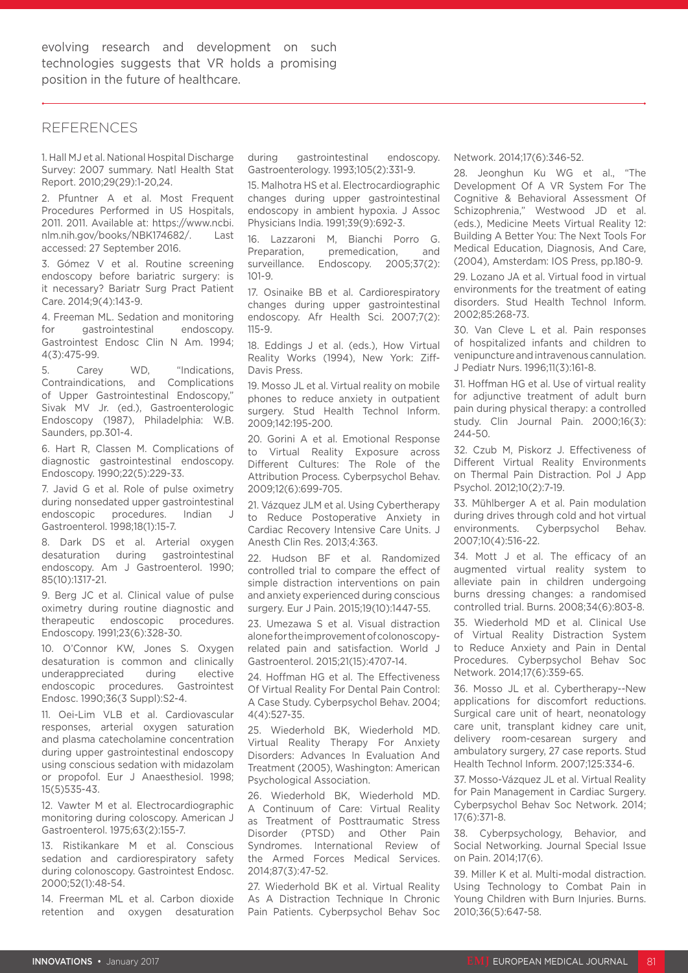#### REFERENCES

1. Hall MJ et al. National Hospital Discharge Survey: 2007 summary. Natl Health Stat Report. 2010;29(29):1-20,24.

2. Pfuntner A et al. Most Frequent Procedures Performed in US Hospitals, 2011. 2011. Available at: https://www.ncbi. nlm.nih.gov/books/NBK174682/. Last accessed: 27 September 2016.

3. Gómez V et al. Routine screening endoscopy before bariatric surgery: is it necessary? Bariatr Surg Pract Patient Care. 2014;9(4):143-9.

4. Freeman ML. Sedation and monitoring for gastrointestinal endoscopy. Gastrointest Endosc Clin N Am. 1994; 4(3):475-99.

5. Carey WD, "Indications, Contraindications, and Complications of Upper Gastrointestinal Endoscopy," Sivak MV Jr. (ed.), Gastroenterologic Endoscopy (1987), Philadelphia: W.B. Saunders, pp.301-4.

6. Hart R, Classen M. Complications of diagnostic gastrointestinal endoscopy. Endoscopy. 1990;22(5):229-33.

7. Javid G et al. Role of pulse oximetry during nonsedated upper gastrointestinal endoscopic procedures. Indian J Gastroenterol. 1998;18(1):15-7.

8. Dark DS et al. Arterial oxygen desaturation during gastrointestinal endoscopy. Am J Gastroenterol. 1990; 85(10):1317-21.

9. Berg JC et al. Clinical value of pulse oximetry during routine diagnostic and therapeutic endoscopic procedures. Endoscopy. 1991;23(6):328-30.

10. O'Connor KW, Jones S. Oxygen desaturation is common and clinically underappreciated during elective endoscopic procedures. Gastrointest Endosc. 1990;36(3 Suppl):S2-4.

11. Oei-Lim VLB et al. Cardiovascular responses, arterial oxygen saturation and plasma catecholamine concentration during upper gastrointestinal endoscopy using conscious sedation with midazolam or propofol. Eur J Anaesthesiol. 1998; 15(5)535-43.

12. Vawter M et al. Electrocardiographic monitoring during coloscopy. American J Gastroenterol. 1975;63(2):155-7.

13. Ristikankare M et al. Conscious sedation and cardiorespiratory safety during colonoscopy. Gastrointest Endosc. 2000;52(1):48-54.

14. Freerman ML et al. Carbon dioxide retention and oxygen desaturation during gastrointestinal endoscopy. Gastroenterology. 1993;105(2):331-9.

15. Malhotra HS et al. Electrocardiographic changes during upper gastrointestinal endoscopy in ambient hypoxia. J Assoc Physicians India. 1991;39(9):692-3.

16. Lazzaroni M, Bianchi Porro G. Preparation, premedication, and surveillance. Endoscopy. 2005;37(2):  $101 - 9$ 

17. Osinaike BB et al. Cardiorespiratory changes during upper gastrointestinal endoscopy. Afr Health Sci. 2007;7(2): 115-9.

18. Eddings J et al. (eds.), How Virtual Reality Works (1994), New York: Ziff-Davis Press.

19. Mosso JL et al. Virtual reality on mobile phones to reduce anxiety in outpatient surgery. Stud Health Technol Inform. 2009;142:195-200.

20. Gorini A et al. Emotional Response to Virtual Reality Exposure across Different Cultures: The Role of the Attribution Process. Cyberpsychol Behav. 2009;12(6):699-705.

21. Vázquez JLM et al. Using Cybertherapy to Reduce Postoperative Anxiety in Cardiac Recovery Intensive Care Units. J Anesth Clin Res. 2013;4:363.

22. Hudson BF et al. Randomized controlled trial to compare the effect of simple distraction interventions on pain and anxiety experienced during conscious surgery. Eur J Pain. 2015;19(10):1447-55.

23. Umezawa S et al. Visual distraction alone for the improvement of colonoscopyrelated pain and satisfaction. World J Gastroenterol. 2015;21(15):4707-14.

24. Hoffman HG et al. The Effectiveness Of Virtual Reality For Dental Pain Control: A Case Study. Cyberpsychol Behav. 2004; 4(4):527-35.

25. Wiederhold BK, Wiederhold MD. Virtual Reality Therapy For Anxiety Disorders: Advances In Evaluation And Treatment (2005), Washington: American Psychological Association.

26. Wiederhold BK, Wiederhold MD. A Continuum of Care: Virtual Reality as Treatment of Posttraumatic Stress Disorder (PTSD) and Other Pain Syndromes. International Review of the Armed Forces Medical Services. 2014;87(3):47-52.

27. Wiederhold BK et al. Virtual Reality As A Distraction Technique In Chronic Pain Patients. Cyberpsychol Behav Soc

Network. 2014;17(6):346-52.

28. Jeonghun Ku WG et al., "The Development Of A VR System For The Cognitive & Behavioral Assessment Of Schizophrenia," Westwood JD et al. (eds.), Medicine Meets Virtual Reality 12: Building A Better You: The Next Tools For Medical Education, Diagnosis, And Care, (2004), Amsterdam: IOS Press, pp.180-9.

29. Lozano JA et al. Virtual food in virtual environments for the treatment of eating disorders. Stud Health Technol Inform. 2002;85:268-73.

30. Van Cleve L et al. Pain responses of hospitalized infants and children to venipuncture and intravenous cannulation. J Pediatr Nurs. 1996;11(3):161-8.

31. Hoffman HG et al. Use of virtual reality for adjunctive treatment of adult burn pain during physical therapy: a controlled study. Clin Journal Pain. 2000;16(3): 244-50.

32. Czub M, Piskorz J. Effectiveness of Different Virtual Reality Environments on Thermal Pain Distraction. Pol J App Psychol. 2012;10(2):7-19.

33. Mühlberger A et al. Pain modulation during drives through cold and hot virtual environments. Cyberpsychol Behav. 2007;10(4):516-22.

34. Mott J et al. The efficacy of an augmented virtual reality system to alleviate pain in children undergoing burns dressing changes: a randomised controlled trial. Burns. 2008;34(6):803-8.

35. Wiederhold MD et al. Clinical Use of Virtual Reality Distraction System to Reduce Anxiety and Pain in Dental Procedures. Cyberpsychol Behav Soc Network. 2014;17(6):359-65.

36. Mosso JL et al. Cybertherapy--New applications for discomfort reductions. Surgical care unit of heart, neonatology care unit, transplant kidney care unit, delivery room-cesarean surgery and ambulatory surgery, 27 case reports. Stud Health Technol Inform. 2007;125:334-6.

37. Mosso-Vázquez JL et al. Virtual Reality for Pain Management in Cardiac Surgery. Cyberpsychol Behav Soc Network. 2014; 17(6):371-8.

38. Cyberpsychology, Behavior, and Social Networking. Journal Special Issue on Pain. 2014;17(6).

39. Miller K et al. Multi-modal distraction. Using Technology to Combat Pain in Young Children with Burn Injuries. Burns. 2010;36(5):647-58.